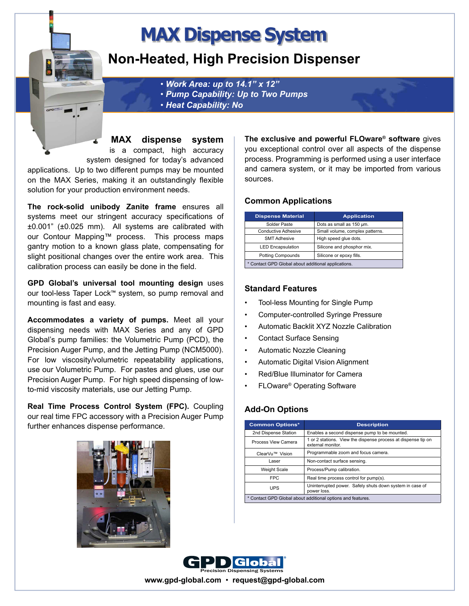# **MAX Dispense System**

# **Non-Heated, High Precision Dispenser**

• *Work Area: up to 14.1" x 12"*  • *Pump Capability: Up to Two Pumps*

- 
- • *Heat Capability: No*

**MAX dispense system** is a compact, high accuracy system designed for today's advanced

applications. Up to two different pumps may be mounted on the MAX Series, making it an outstandingly flexible solution for your production environment needs.

**The rock-solid unibody Zanite frame** ensures all systems meet our stringent accuracy specifications of ±0.001" (±0.025 mm). All systems are calibrated with our Contour Mapping™ process. This process maps gantry motion to a known glass plate, compensating for slight positional changes over the entire work area. This calibration process can easily be done in the field.

**GPD Global's universal tool mounting design** uses our tool-less Taper Lock™ system, so pump removal and mounting is fast and easy.

**Accommodates a variety of pumps.** Meet all your dispensing needs with MAX Series and any of GPD Global's pump families: the Volumetric Pump (PCD), the Precision Auger Pump, and the Jetting Pump (NCM5000). For low viscosity/volumetric repeatability applications, use our Volumetric Pump. For pastes and glues, use our Precision Auger Pump. For high speed dispensing of lowto-mid viscosity materials, use our Jetting Pump.

**Real Time Process Control System (FPC).** Coupling our real time FPC accessory with a Precision Auger Pump further enhances dispense performance.



**The exclusive and powerful FLOware® software** gives you exceptional control over all aspects of the dispense process. Programming is performed using a user interface and camera system, or it may be imported from various sources.

### **Common Applications**

| <b>Dispense Material</b>                            | <b>Application</b>              |
|-----------------------------------------------------|---------------------------------|
| Solder Paste                                        | Dots as small as 150 um.        |
| Conductive Adhesive                                 | Small volume, complex patterns. |
| <b>SMT Adhesive</b>                                 | High speed glue dots.           |
| <b>LED Encapsulation</b>                            | Silicone and phosphor mix.      |
| <b>Potting Compounds</b>                            | Silicone or epoxy fills.        |
| * Contact GPD Global about additional applications. |                                 |

### **Standard Features**

- Tool-less Mounting for Single Pump
- Computer-controlled Syringe Pressure
- Automatic Backlit XYZ Nozzle Calibration
- Contact Surface Sensing
- Automatic Nozzle Cleaning
- Automatic Digital Vision Alignment
- Red/Blue Illuminator for Camera
- FLOware® Operating Software

# **Add-On Options**

| <b>Common Options*</b>                                      | <b>Description</b>                                                                 |
|-------------------------------------------------------------|------------------------------------------------------------------------------------|
| 2nd Dispense Station                                        | Enables a second dispense pump to be mounted.                                      |
| Process View Camera                                         | 1 or 2 stations. View the dispense process at dispense tip on<br>external monitor. |
| ClearVu™ Vision                                             | Programmable zoom and focus camera.                                                |
| Laser                                                       | Non-contact surface sensing.                                                       |
| <b>Weight Scale</b>                                         | Process/Pump calibration.                                                          |
| <b>FPC</b>                                                  | Real time process control for pump(s).                                             |
| <b>UPS</b>                                                  | Uninterrupted power. Safely shuts down system in case of<br>power loss.            |
| * Contact GPD Global about additional options and features. |                                                                                    |



**www.gpd-global.com** • **request@gpd-global.com**